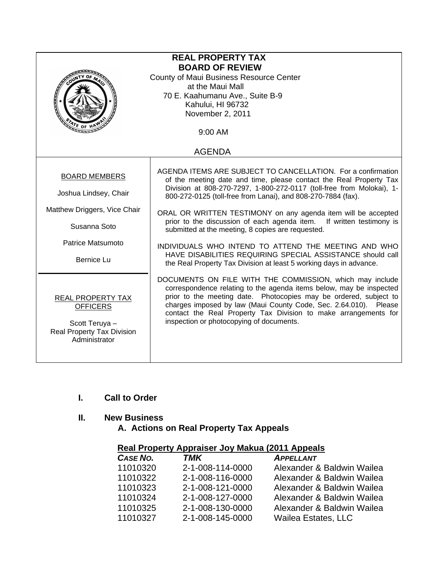| <b>REAL PROPERTY TAX</b>                                                                                     |                                                                                                                                                                                                                                                                                                                                                                                         |  |  |  |
|--------------------------------------------------------------------------------------------------------------|-----------------------------------------------------------------------------------------------------------------------------------------------------------------------------------------------------------------------------------------------------------------------------------------------------------------------------------------------------------------------------------------|--|--|--|
| <b>BOARD OF REVIEW</b>                                                                                       |                                                                                                                                                                                                                                                                                                                                                                                         |  |  |  |
| County of Maui Business Resource Center<br>at the Maui Mall                                                  |                                                                                                                                                                                                                                                                                                                                                                                         |  |  |  |
| 70 E. Kaahumanu Ave., Suite B-9                                                                              |                                                                                                                                                                                                                                                                                                                                                                                         |  |  |  |
| Kahului, HI 96732                                                                                            |                                                                                                                                                                                                                                                                                                                                                                                         |  |  |  |
| November 2, 2011                                                                                             |                                                                                                                                                                                                                                                                                                                                                                                         |  |  |  |
| $\frac{A}{A}$ of $\mu$<br>9:00 AM                                                                            |                                                                                                                                                                                                                                                                                                                                                                                         |  |  |  |
| <b>AGENDA</b>                                                                                                |                                                                                                                                                                                                                                                                                                                                                                                         |  |  |  |
| <b>BOARD MEMBERS</b><br>Joshua Lindsey, Chair                                                                | AGENDA ITEMS ARE SUBJECT TO CANCELLATION. For a confirmation<br>of the meeting date and time, please contact the Real Property Tax<br>Division at 808-270-7297, 1-800-272-0117 (toll-free from Molokai), 1-<br>800-272-0125 (toll-free from Lanai), and 808-270-7884 (fax).                                                                                                             |  |  |  |
| Matthew Driggers, Vice Chair<br>Susanna Soto                                                                 | ORAL OR WRITTEN TESTIMONY on any agenda item will be accepted<br>prior to the discussion of each agenda item. If written testimony is<br>submitted at the meeting, 8 copies are requested.                                                                                                                                                                                              |  |  |  |
| Patrice Matsumoto                                                                                            | INDIVIDUALS WHO INTEND TO ATTEND THE MEETING AND WHO<br>HAVE DISABILITIES REQUIRING SPECIAL ASSISTANCE should call<br>the Real Property Tax Division at least 5 working days in advance.                                                                                                                                                                                                |  |  |  |
| <b>Bernice Lu</b>                                                                                            |                                                                                                                                                                                                                                                                                                                                                                                         |  |  |  |
| REAL PROPERTY TAX<br><b>OFFICERS</b><br>Scott Teruya -<br><b>Real Property Tax Division</b><br>Administrator | DOCUMENTS ON FILE WITH THE COMMISSION, which may include<br>correspondence relating to the agenda items below, may be inspected<br>prior to the meeting date. Photocopies may be ordered, subject to<br>charges imposed by law (Maui County Code, Sec. 2.64.010). Please<br>contact the Real Property Tax Division to make arrangements for<br>inspection or photocopying of documents. |  |  |  |

## **I. Call to Order**

## **II. New Business**

 **A. Actions on Real Property Tax Appeals** 

## **Real Property Appraiser Joy Makua (2011 Appeals**

| CASE NO. | <b>TMK</b>       | <b>APPELLANT</b>           |
|----------|------------------|----------------------------|
| 11010320 | 2-1-008-114-0000 | Alexander & Baldwin Wailea |
| 11010322 | 2-1-008-116-0000 | Alexander & Baldwin Wailea |
| 11010323 | 2-1-008-121-0000 | Alexander & Baldwin Wailea |
| 11010324 | 2-1-008-127-0000 | Alexander & Baldwin Wailea |
| 11010325 | 2-1-008-130-0000 | Alexander & Baldwin Wailea |
| 11010327 | 2-1-008-145-0000 | <b>Wailea Estates, LLC</b> |
|          |                  |                            |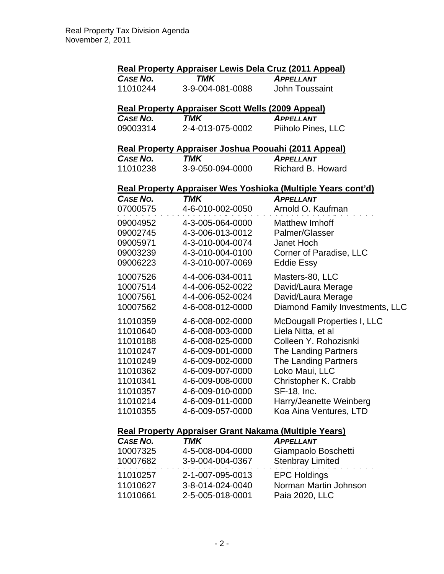| Real Property Appraiser Lewis Dela Cruz (2011 Appeal)               |                                                                 |                                 |  |  |  |
|---------------------------------------------------------------------|-----------------------------------------------------------------|---------------------------------|--|--|--|
| <b>CASE NO.</b>                                                     | <b>TMK</b>                                                      | <b>APPELLANT</b>                |  |  |  |
| 11010244                                                            | 3-9-004-081-0088                                                | <b>John Toussaint</b>           |  |  |  |
|                                                                     | <u><b>Real Property Appraiser Scott Wells (2009 Appeal)</b></u> |                                 |  |  |  |
| <b>CASE NO.</b>                                                     | <b>TMK</b>                                                      | <b>APPELLANT</b>                |  |  |  |
| 09003314                                                            | 2-4-013-075-0002                                                | Piiholo Pines, LLC              |  |  |  |
|                                                                     | Real Property Appraiser Joshua Poouahi (2011 Appeal)            |                                 |  |  |  |
| <b>CASE NO.</b>                                                     | TMK                                                             | <b>APPELLANT</b>                |  |  |  |
| 11010238                                                            | 3-9-050-094-0000                                                | Richard B. Howard               |  |  |  |
| <u>Real Property Appraiser Wes Yoshioka (Multiple Years cont'd)</u> |                                                                 |                                 |  |  |  |
| CASE NO.                                                            | <b>TMK</b>                                                      | APPELLANT                       |  |  |  |
| 07000575                                                            | 4-6-010-002-0050                                                | Arnold O. Kaufman               |  |  |  |
| 09004952                                                            | 4-3-005-064-0000                                                | <b>Matthew Imhoff</b>           |  |  |  |
| 09002745                                                            | 4-3-006-013-0012                                                | Palmer/Glasser                  |  |  |  |
| 09005971                                                            | 4-3-010-004-0074                                                | Janet Hoch                      |  |  |  |
| 09003239                                                            | 4-3-010-004-0100                                                | Corner of Paradise, LLC         |  |  |  |
| 09006223                                                            | 4-3-010-007-0069                                                | <b>Eddie Essy</b>               |  |  |  |
| 10007526                                                            | 4-4-006-034-0011                                                | Masters-80, LLC                 |  |  |  |
| 10007514                                                            | 4-4-006-052-0022                                                | David/Laura Merage              |  |  |  |
| 10007561                                                            | 4-4-006-052-0024                                                | David/Laura Merage              |  |  |  |
| 10007562                                                            | 4-6-008-012-0000                                                | Diamond Family Investments, LLC |  |  |  |
| 11010359                                                            | 4-6-008-002-0000                                                | McDougall Properties I, LLC     |  |  |  |
| 11010640                                                            | 4-6-008-003-0000                                                | Liela Nitta, et al              |  |  |  |
| 11010188                                                            | 4-6-008-025-0000                                                | Colleen Y. Rohozisnki           |  |  |  |
| 11010247                                                            | 4-6-009-001-0000                                                | The Landing Partners            |  |  |  |
| 11010249                                                            | 4-6-009-002-0000                                                | The Landing Partners            |  |  |  |
| 11010362                                                            | 4-6-009-007-0000                                                | Loko Maui, LLC                  |  |  |  |
| 11010341                                                            | 4-6-009-008-0000                                                | Christopher K. Crabb            |  |  |  |
| 11010357                                                            | 4-6-009-010-0000                                                | <b>SF-18, Inc.</b>              |  |  |  |
| 11010214                                                            | 4-6-009-011-0000                                                | Harry/Jeanette Weinberg         |  |  |  |
| 11010355                                                            | 4-6-009-057-0000                                                | Koa Aina Ventures, LTD          |  |  |  |
|                                                                     | Real Property Appraiser Grant Nakama (Multiple Years)           |                                 |  |  |  |
| CASE NO.                                                            | TMK                                                             | <b>APPELLANT</b>                |  |  |  |
| 10007325                                                            | 4-5-008-004-0000                                                | Giampaolo Boschetti             |  |  |  |
| 10007682                                                            | 3-9-004-004-0367                                                | <b>Stenbray Limited</b>         |  |  |  |
| 11010257                                                            | 2-1-007-095-0013                                                | <b>EPC Holdings</b>             |  |  |  |
| 11010627                                                            | 3-8-014-024-0040                                                | Norman Martin Johnson           |  |  |  |
| 11010661                                                            | 2-5-005-018-0001                                                | Paia 2020, LLC                  |  |  |  |
|                                                                     |                                                                 |                                 |  |  |  |